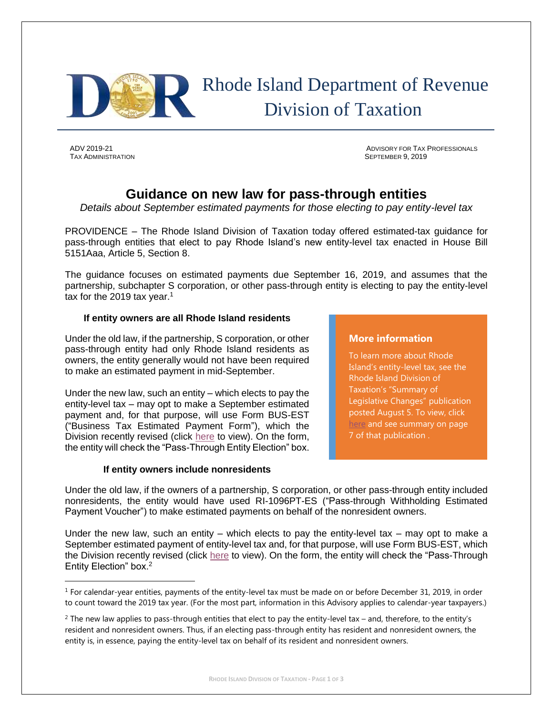

# Rhode Island Department of Revenue Division of Taxation

TAX ADMINISTRATION SEPTEMBER 9, 2019

 $\overline{\phantom{a}}$ 

ADV 2019-21 ADVISORY FOR TAX PROFESSIONALS

# **Guidance on new law for pass-through entities**

*Details about September estimated payments for those electing to pay entity-level tax*

PROVIDENCE – The Rhode Island Division of Taxation today offered estimated-tax guidance for pass-through entities that elect to pay Rhode Island's new entity-level tax enacted in House Bill 5151Aaa, Article 5, Section 8.

The guidance focuses on estimated payments due September 16, 2019, and assumes that the partnership, subchapter S corporation, or other pass-through entity is electing to pay the entity-level tax for the 2019 tax year.<sup>1</sup>

### **If entity owners are all Rhode Island residents**

Under the old law, if the partnership, S corporation, or other pass-through entity had only Rhode Island residents as owners, the entity generally would not have been required to make an estimated payment in mid-September.

Under the new law, such an entity – which elects to pay the entity-level tax – may opt to make a September estimated payment and, for that purpose, will use Form BUS-EST ("Business Tax Estimated Payment Form"), which the Division recently revised (click [here](http://www.tax.ri.gov/forms/2019/BUS/BUS-EST_m.pdf) to view). On the form, the entity will check the "Pass-Through Entity Election" box.

## **If entity owners include nonresidents**

### **More information**

To learn more about Rhode Island's entity-level tax, see the Rhode Island Division of Taxation's "Summary of Legislative Changes" publication posted August 5. To view, click [here](http://www.tax.ri.gov/reports/Summary_of_Legislative_Changes_08_05_19.pdf) and see summary on page 7 of that publication .

Under the old law, if the owners of a partnership, S corporation, or other pass-through entity included nonresidents, the entity would have used RI-1096PT-ES ("Pass-through Withholding Estimated Payment Voucher") to make estimated payments on behalf of the nonresident owners.

Under the new law, such an entity – which elects to pay the entity-level tax – may opt to make a September estimated payment of entity-level tax and, for that purpose, will use Form BUS-EST, which the Division recently revised (click [here](http://www.tax.ri.gov/forms/2019/BUS/BUS-EST_m.pdf) to view). On the form, the entity will check the "Pass-Through Entity Election" box.<sup>2</sup>

 $1$  For calendar-year entities, payments of the entity-level tax must be made on or before December 31, 2019, in order to count toward the 2019 tax year. (For the most part, information in this Advisory applies to calendar-year taxpayers.)

 $2$  The new law applies to pass-through entities that elect to pay the entity-level tax – and, therefore, to the entity's resident and nonresident owners. Thus, if an electing pass-through entity has resident and nonresident owners, the entity is, in essence, paying the entity-level tax on behalf of its resident and nonresident owners.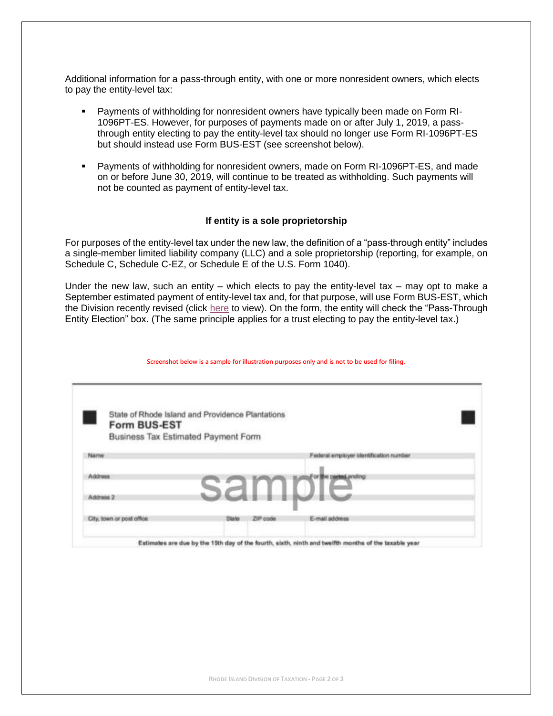Additional information for a pass-through entity, with one or more nonresident owners, which elects to pay the entity-level tax:

- Payments of withholding for nonresident owners have typically been made on Form RI-1096PT-ES. However, for purposes of payments made on or after July 1, 2019, a passthrough entity electing to pay the entity-level tax should no longer use Form RI-1096PT-ES but should instead use Form BUS-EST (see screenshot below).
- Payments of withholding for nonresident owners, made on Form RI-1096PT-ES, and made on or before June 30, 2019, will continue to be treated as withholding. Such payments will not be counted as payment of entity-level tax.

#### **If entity is a sole proprietorship**

For purposes of the entity-level tax under the new law, the definition of a "pass-through entity" includes a single-member limited liability company (LLC) and a sole proprietorship (reporting, for example, on Schedule C, Schedule C-EZ, or Schedule E of the U.S. Form 1040).

Under the new law, such an entity – which elects to pay the entity-level tax – may opt to make a September estimated payment of entity-level tax and, for that purpose, will use Form BUS-EST, which the Division recently revised (click [here](http://www.tax.ri.gov/forms/2019/BUS/BUS-EST_m.pdf) to view). On the form, the entity will check the "Pass-Through Entity Election" box. (The same principle applies for a trust electing to pay the entity-level tax.)

| State of Rhode Island and Providence Plantations |              |          |                                        |  |
|--------------------------------------------------|--------------|----------|----------------------------------------|--|
| Form BUS-EST                                     |              |          |                                        |  |
| Business Tax Estimated Payment Form              |              |          |                                        |  |
| <b><i><u>Маггие</u></i></b>                      |              |          | Federal employer identification number |  |
|                                                  |              |          |                                        |  |
| <b>Address</b>                                   |              |          | the parted ending:                     |  |
| Address 2                                        |              |          |                                        |  |
|                                                  |              |          |                                        |  |
| City, town or post office.                       | <b>State</b> | ZIP code | E-mail address                         |  |